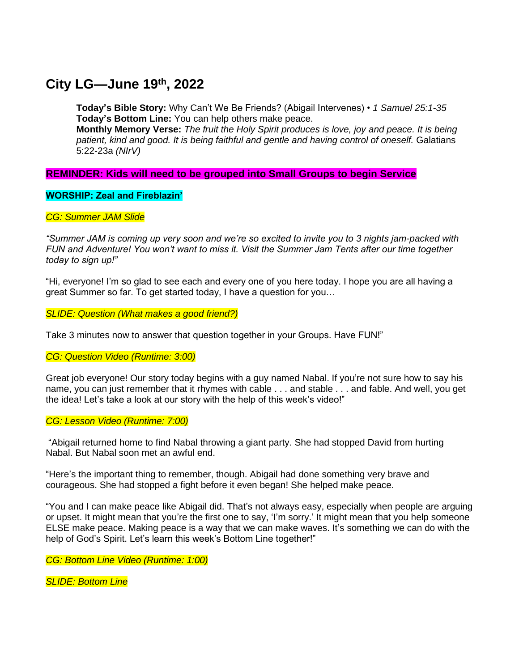# **City LG—June 19th , 2022**

**Today's Bible Story:** Why Can't We Be Friends? (Abigail Intervenes) • *1 Samuel 25:1-35* **Today's Bottom Line:** You can help others make peace.

**Monthly Memory Verse:** *The fruit the Holy Spirit produces is love, joy and peace. It is being patient, kind and good. It is being faithful and gentle and having control of oneself.* Galatians 5:22-23a *(NIrV)*

# **REMINDER: Kids will need to be grouped into Small Groups to begin Service**

## **WORSHIP: Zeal and Fireblazin'**

## *CG: Summer JAM Slide*

*"Summer JAM is coming up very soon and we're so excited to invite you to 3 nights jam-packed with FUN and Adventure! You won't want to miss it. Visit the Summer Jam Tents after our time together today to sign up!"*

"Hi, everyone! I'm so glad to see each and every one of you here today. I hope you are all having a great Summer so far. To get started today, I have a question for you…

*SLIDE: Question (What makes a good friend?)*

Take 3 minutes now to answer that question together in your Groups. Have FUN!"

*CG: Question Video (Runtime: 3:00)*

Great job everyone! Our story today begins with a guy named Nabal. If you're not sure how to say his name, you can just remember that it rhymes with cable . . . and stable . . . and fable. And well, you get the idea! Let's take a look at our story with the help of this week's video!"

#### *CG: Lesson Video (Runtime: 7:00)*

"Abigail returned home to find Nabal throwing a giant party. She had stopped David from hurting Nabal. But Nabal soon met an awful end.

"Here's the important thing to remember, though. Abigail had done something very brave and courageous. She had stopped a fight before it even began! She helped make peace.

"You and I can make peace like Abigail did. That's not always easy, especially when people are arguing or upset. It might mean that you're the first one to say, 'I'm sorry.' It might mean that you help someone ELSE make peace. Making peace is a way that we can make waves. It's something we can do with the help of God's Spirit. Let's learn this week's Bottom Line together!"

*CG: Bottom Line Video (Runtime: 1:00)*

*SLIDE: Bottom Line*